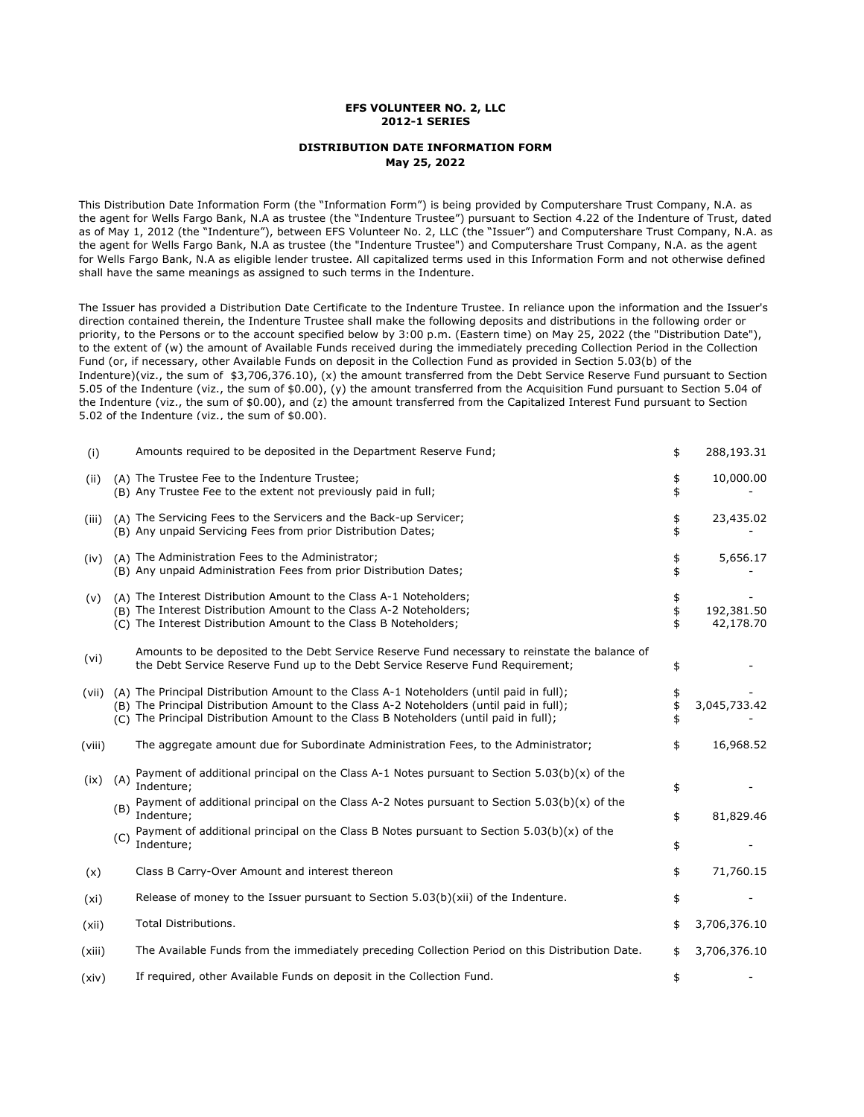## **EFS VOLUNTEER NO. 2, LLC 2012-1 SERIES**

## **DISTRIBUTION DATE INFORMATION FORM May 25, 2022**

This Distribution Date Information Form (the "Information Form") is being provided by Computershare Trust Company, N.A. as the agent for Wells Fargo Bank, N.A as trustee (the "Indenture Trustee") pursuant to Section 4.22 of the Indenture of Trust, dated as of May 1, 2012 (the "Indenture"), between EFS Volunteer No. 2, LLC (the "Issuer") and Computershare Trust Company, N.A. as the agent for Wells Fargo Bank, N.A as trustee (the "Indenture Trustee") and Computershare Trust Company, N.A. as the agent for Wells Fargo Bank, N.A as eligible lender trustee. All capitalized terms used in this Information Form and not otherwise defined shall have the same meanings as assigned to such terms in the Indenture.

The Issuer has provided a Distribution Date Certificate to the Indenture Trustee. In reliance upon the information and the Issuer's direction contained therein, the Indenture Trustee shall make the following deposits and distributions in the following order or priority, to the Persons or to the account specified below by 3:00 p.m. (Eastern time) on May 25, 2022 (the "Distribution Date"), to the extent of (w) the amount of Available Funds received during the immediately preceding Collection Period in the Collection Fund (or, if necessary, other Available Funds on deposit in the Collection Fund as provided in Section 5.03(b) of the Indenture)(viz., the sum of \$3,706,376.10), (x) the amount transferred from the Debt Service Reserve Fund pursuant to Section 5.05 of the Indenture (viz., the sum of \$0.00), (y) the amount transferred from the Acquisition Fund pursuant to Section 5.04 of the Indenture (viz., the sum of \$0.00), and (z) the amount transferred from the Capitalized Interest Fund pursuant to Section 5.02 of the Indenture (viz., the sum of \$0.00).

| (i)    | Amounts required to be deposited in the Department Reserve Fund;                                                                                                                                                                                                               | \$             | 288,193.31              |
|--------|--------------------------------------------------------------------------------------------------------------------------------------------------------------------------------------------------------------------------------------------------------------------------------|----------------|-------------------------|
| (ii)   | (A) The Trustee Fee to the Indenture Trustee;<br>(B) Any Trustee Fee to the extent not previously paid in full;                                                                                                                                                                | \$<br>\$       | 10,000.00               |
| (iii)  | (A) The Servicing Fees to the Servicers and the Back-up Servicer;<br>(B) Any unpaid Servicing Fees from prior Distribution Dates;                                                                                                                                              | \$<br>\$       | 23,435.02               |
| (iv)   | (A) The Administration Fees to the Administrator;<br>(B) Any unpaid Administration Fees from prior Distribution Dates;                                                                                                                                                         | \$<br>\$       | 5,656.17                |
| (v)    | (A) The Interest Distribution Amount to the Class A-1 Noteholders;<br>(B) The Interest Distribution Amount to the Class A-2 Noteholders;<br>(C) The Interest Distribution Amount to the Class B Noteholders;                                                                   | \$<br>\$<br>\$ | 192,381.50<br>42,178.70 |
| (vi)   | Amounts to be deposited to the Debt Service Reserve Fund necessary to reinstate the balance of<br>the Debt Service Reserve Fund up to the Debt Service Reserve Fund Requirement;                                                                                               | \$             |                         |
| (vii)  | (A) The Principal Distribution Amount to the Class A-1 Noteholders (until paid in full);<br>(B) The Principal Distribution Amount to the Class A-2 Noteholders (until paid in full);<br>(C) The Principal Distribution Amount to the Class B Noteholders (until paid in full); | \$<br>\$<br>\$ | 3,045,733.42            |
| (viii) | The aggregate amount due for Subordinate Administration Fees, to the Administrator;                                                                                                                                                                                            | \$             | 16,968.52               |
| (ix)   | Payment of additional principal on the Class A-1 Notes pursuant to Section $5.03(b)(x)$ of the<br>(A)<br>Indenture;<br>Payment of additional principal on the Class A-2 Notes pursuant to Section $5.03(b)(x)$ of the<br>(B)                                                   | \$             |                         |
|        | Indenture;<br>Payment of additional principal on the Class B Notes pursuant to Section $5.03(b)(x)$ of the<br>(C)                                                                                                                                                              | \$             | 81,829.46               |
|        | Indenture;                                                                                                                                                                                                                                                                     | \$             |                         |
| (x)    | Class B Carry-Over Amount and interest thereon                                                                                                                                                                                                                                 | \$             | 71,760.15               |
| (xi)   | Release of money to the Issuer pursuant to Section $5.03(b)(xi)$ of the Indenture.                                                                                                                                                                                             | \$             |                         |
| (xii)  | Total Distributions.                                                                                                                                                                                                                                                           | \$             | 3,706,376.10            |
| (xiii) | The Available Funds from the immediately preceding Collection Period on this Distribution Date.                                                                                                                                                                                | \$             | 3,706,376.10            |
| (xiv)  | If required, other Available Funds on deposit in the Collection Fund.                                                                                                                                                                                                          | \$             |                         |